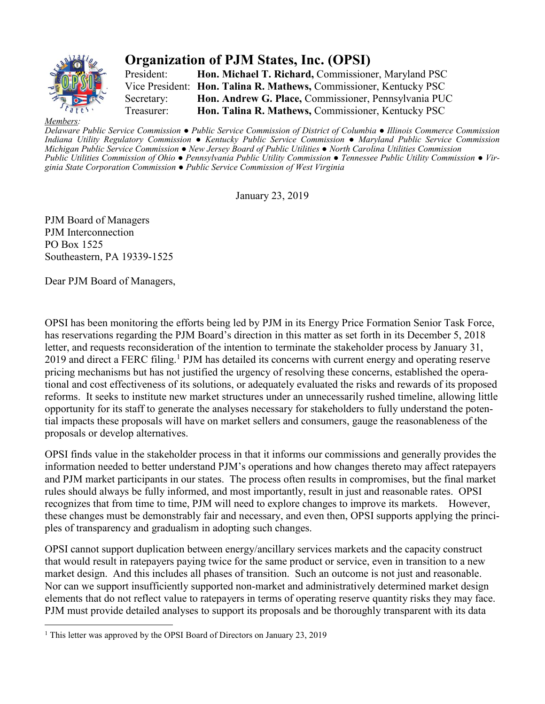

## **Organization of PJM States, Inc. (OPSI)**

President: **Hon. Michael T. Richard,** Commissioner, Maryland PSC Vice President: **Hon. Talina R. Mathews,** Commissioner, Kentucky PSC Secretary: **Hon. Andrew G. Place,** Commissioner, Pennsylvania PUC Treasurer: **Hon. Talina R. Mathews,** Commissioner, Kentucky PSC

*Memb* 

Delaware Public Service Commission • Public Service Commission of District of Columbia • Illinois Commerce Commission *Indiana Utility Regulatory Commission ● Kentucky Public Service Commission ● Maryland Public Service Commission Michigan Public Service Commission ● New Jersey Board of Public Utilities ● North Carolina Utilities Commission*  Public Utilities Commission of Ohio • Pennsylvania Public Utility Commission • Tennessee Public Utility Commission • Vir*ginia State Corporation Commission ● Public Service Commission of West Virginia*

January 23, 2019

PJM Board of Managers PJM Interconnection PO Box 1525 Southeastern, PA 19339-1525

Dear PJM Board of Managers,

OPSI has been monitoring the efforts being led by PJM in its Energy Price Formation Senior Task Force, has reservations regarding the PJM Board's direction in this matter as set forth in its December 5, 2018 letter, and requests reconsideration of the intention to terminate the stakeholder process by January 31, 2019 and direct a FERC filing.<sup>1</sup> PJM has detailed its concerns with current energy and operating reserve pricing mechanisms but has not justified the urgency of resolving these concerns, established the operational and cost effectiveness of its solutions, or adequately evaluated the risks and rewards of its proposed reforms. It seeks to institute new market structures under an unnecessarily rushed timeline, allowing little opportunity for its staff to generate the analyses necessary for stakeholders to fully understand the potential impacts these proposals will have on market sellers and consumers, gauge the reasonableness of the proposals or develop alternatives.

OPSI finds value in the stakeholder process in that it informs our commissions and generally provides the information needed to better understand PJM's operations and how changes thereto may affect ratepayers and PJM market participants in our states. The process often results in compromises, but the final market rules should always be fully informed, and most importantly, result in just and reasonable rates. OPSI recognizes that from time to time, PJM will need to explore changes to improve its markets. However, these changes must be demonstrably fair and necessary, and even then, OPSI supports applying the principles of transparency and gradualism in adopting such changes.

OPSI cannot support duplication between energy/ancillary services markets and the capacity construct that would result in ratepayers paying twice for the same product or service, even in transition to a new market design. And this includes all phases of transition. Such an outcome is not just and reasonable. Nor can we support insufficiently supported non-market and administratively determined market design elements that do not reflect value to ratepayers in terms of operating reserve quantity risks they may face. PJM must provide detailed analyses to support its proposals and be thoroughly transparent with its data

<sup>&</sup>lt;sup>1</sup> This letter was approved by the OPSI Board of Directors on January 23, 2019